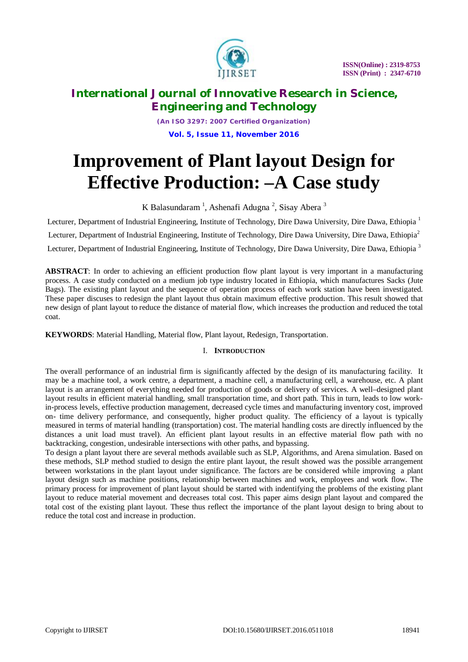

*(An ISO 3297: 2007 Certified Organization)* **Vol. 5, Issue 11, November 2016**

# **Improvement of Plant layout Design for Effective Production: –A Case study**

K Balasundaram<sup>1</sup>, Ashenafi Adugna<sup>2</sup>, Sisay Abera<sup>3</sup>

Lecturer, Department of Industrial Engineering, Institute of Technology, Dire Dawa University, Dire Dawa, Ethiopia<sup>1</sup> Lecturer, Department of Industrial Engineering, Institute of Technology, Dire Dawa University, Dire Dawa, Ethiopia<sup>2</sup> Lecturer, Department of Industrial Engineering, Institute of Technology, Dire Dawa University, Dire Dawa, Ethiopia<sup>3</sup>

**ABSTRACT**: In order to achieving an efficient production flow plant layout is very important in a manufacturing process. A case study conducted on a medium job type industry located in Ethiopia, which manufactures Sacks (Jute Bags). The existing plant layout and the sequence of operation process of each work station have been investigated. These paper discuses to redesign the plant layout thus obtain maximum effective production. This result showed that new design of plant layout to reduce the distance of material flow, which increases the production and reduced the total coat.

**KEYWORDS**: Material Handling, Material flow, Plant layout, Redesign, Transportation.

## I. **INTRODUCTION**

The overall performance of an industrial firm is significantly affected by the design of its manufacturing facility. It may be a machine tool, a work centre, a department, a machine cell, a manufacturing cell, a warehouse, etc. A plant layout is an arrangement of everything needed for production of goods or delivery of services. A well–designed plant layout results in efficient material handling, small transportation time, and short path. This in turn, leads to low workin-process levels, effective production management, decreased cycle times and manufacturing inventory cost, improved on- time delivery performance, and consequently, higher product quality. The efficiency of a layout is typically measured in terms of material handling (transportation) cost. The material handling costs are directly influenced by the distances a unit load must travel). An efficient plant layout results in an effective material flow path with no backtracking, congestion, undesirable intersections with other paths, and bypassing.

To design a plant layout there are several methods available such as SLP, Algorithms, and Arena simulation. Based on these methods, SLP method studied to design the entire plant layout, the result showed was the possible arrangement between workstations in the plant layout under significance. The factors are be considered while improving a plant layout design such as machine positions, relationship between machines and work, employees and work flow. The primary process for improvement of plant layout should be started with indentifying the problems of the existing plant layout to reduce material movement and decreases total cost. This paper aims design plant layout and compared the total cost of the existing plant layout. These thus reflect the importance of the plant layout design to bring about to reduce the total cost and increase in production.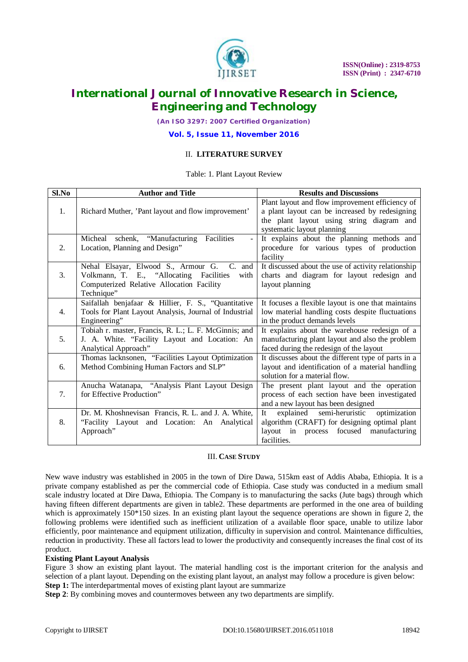

*(An ISO 3297: 2007 Certified Organization)*

**Vol. 5, Issue 11, November 2016**

## II. **LITERATURE SURVEY**

#### Table: 1. Plant Layout Review

| Sl.No | <b>Author and Title</b>                                 | <b>Results and Discussions</b>                                                                    |
|-------|---------------------------------------------------------|---------------------------------------------------------------------------------------------------|
| 1.    | Richard Muther, 'Pant layout and flow improvement'      | Plant layout and flow improvement efficiency of<br>a plant layout can be increased by redesigning |
|       |                                                         | the plant layout using string diagram and<br>systematic layout planning                           |
|       | Facilities<br>Micheal schenk, "Manufacturing            | It explains about the planning methods and                                                        |
| 2.    | Location, Planning and Design"                          | procedure for various types of production<br>facility                                             |
|       | Nehal Elsayar, Elwood S., Armour G. C.<br>and           | It discussed about the use of activity relationship                                               |
| 3.    | Volkmann, T. E., "Allocating Facilities<br>with         | charts and diagram for layout redesign and                                                        |
|       | Computerized Relative Allocation Facility<br>Technique" | layout planning                                                                                   |
|       | Saifallah benjafaar & Hillier, F. S., "Quantitative     | It focuses a flexible layout is one that maintains                                                |
| 4.    | Tools for Plant Layout Analysis, Journal of Industrial  | low material handling costs despite fluctuations                                                  |
|       | Engineering"                                            | in the product demands levels                                                                     |
|       | Tobiah r. master, Francis, R. L.; L. F. McGinnis; and   | It explains about the warehouse redesign of a                                                     |
| 5.    | J. A. White. "Facility Layout and Location: An          | manufacturing plant layout and also the problem                                                   |
|       | Analytical Approach"                                    | faced during the redesign of the layout                                                           |
|       | Thomas lacknsonen, "Facilities Layout Optimization      | It discusses about the different type of parts in a                                               |
| 6.    | Method Combining Human Factors and SLP"                 | layout and identification of a material handling<br>solution for a material flow.                 |
|       | Anucha Watanapa, "Analysis Plant Layout Design          | The present plant layout and the operation                                                        |
| 7.    | for Effective Production"                               | process of each section have been investigated                                                    |
|       |                                                         | and a new layout has been designed                                                                |
|       | Dr. M. Khoshnevisan Francis, R. L. and J. A. White,     | explained semi-heruristic<br>optimization<br><b>It</b>                                            |
| 8.    | "Facility Layout and Location: An Analytical            | algorithm (CRAFT) for designing optimal plant                                                     |
|       | Approach"                                               | layout in process focused manufacturing                                                           |
|       |                                                         | facilities.                                                                                       |

### III. **CASE STUDY**

New wave industry was established in 2005 in the town of Dire Dawa, 515km east of Addis Ababa, Ethiopia. It is a private company established as per the commercial code of Ethiopia. Case study was conducted in a medium small scale industry located at Dire Dawa, Ethiopia. The Company is to manufacturing the sacks (Jute bags) through which having fifteen different departments are given in table2. These departments are performed in the one area of building which is approximately 150<sup>\*</sup>150 sizes. In an existing plant layout the sequence operations are shown in figure 2, the following problems were identified such as inefficient utilization of a available floor space, unable to utilize labor efficiently, poor maintenance and equipment utilization, difficulty in supervision and control. Maintenance difficulties, reduction in productivity. These all factors lead to lower the productivity and consequently increases the final cost of its product.

### **Existing Plant Layout Analysis**

Figure 3 show an existing plant layout. The material handling cost is the important criterion for the analysis and selection of a plant layout. Depending on the existing plant layout, an analyst may follow a procedure is given below: **Step 1:** The interdepartmental moves of existing plant layout are summarize

**Step 2**: By combining moves and countermoves between any two departments are simplify.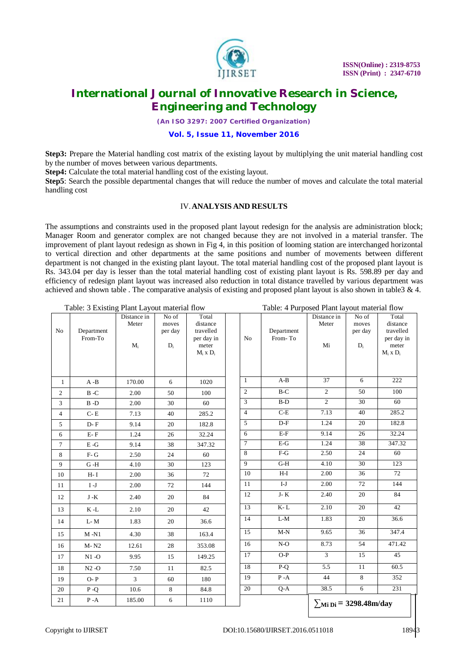

*(An ISO 3297: 2007 Certified Organization)*

### **Vol. 5, Issue 11, November 2016**

**Step3:** Prepare the Material handling cost matrix of the existing layout by multiplying the unit material handling cost by the number of moves between various departments.

**Step4:** Calculate the total material handling cost of the existing layout.

**Step5**: Search the possible departmental changes that will reduce the number of moves and calculate the total material handling cost

### IV.**ANALYSIS AND RESULTS**

The assumptions and constraints used in the proposed plant layout redesign for the analysis are administration block; Manager Room and generator complex are not changed because they are not involved in a material transfer. The improvement of plant layout redesign as shown in Fig 4, in this position of looming station are interchanged horizontal to vertical direction and other departments at the same positions and number of movements between different department is not changed in the existing plant layout. The total material handling cost of the proposed plant layout is Rs. 343.04 per day is lesser than the total material handling cost of existing plant layout is Rs. 598.89 per day and efficiency of redesign plant layout was increased also reduction in total distance travelled by various department was achieved and shown table . The comparative analysis of existing and proposed plant layout is also shown in table  $3 \& 4$ .

| Table: 3 Existing Plant Layout material flow |                                |                               |                                    |                                                                        | Table: 4 Purposed Plant layout material flow |                       |                                              |                                                      |                                                                      |
|----------------------------------------------|--------------------------------|-------------------------------|------------------------------------|------------------------------------------------------------------------|----------------------------------------------|-----------------------|----------------------------------------------|------------------------------------------------------|----------------------------------------------------------------------|
| No                                           | Department<br>From-To          | Distance in<br>Meter<br>$M_i$ | No of<br>moves<br>per day<br>$D_i$ | Total<br>distance<br>travelled<br>per day in<br>meter<br>$M_i$ x $D_i$ | N <sub>o</sub>                               | Department<br>From-To | Distance in<br>Meter<br>Mi                   | No of<br>moves<br>per day<br>$\mathbf{D}_\mathrm{i}$ | Total<br>distance<br>travelled<br>per day in<br>meter<br>$M_i x D_i$ |
| $\mathbf{1}$                                 | $A - B$                        | 170.00                        | 6                                  | 1020                                                                   | 1                                            | $A-B$                 | 37                                           | 6                                                    | 222                                                                  |
| $\overline{2}$                               | $B - C$                        | 2.00                          | 50                                 | 100                                                                    | $\overline{2}$                               | $B-C$                 | $\overline{2}$                               | 50                                                   | 100                                                                  |
| 3                                            | $\, {\bf B}$ -D                | 2.00                          | 30                                 | 60                                                                     | 3                                            | $B-D$                 | $\overline{2}$                               | 30                                                   | 60                                                                   |
| $\overline{4}$                               | $C - E$                        | 7.13                          | 40                                 | 285.2                                                                  | $\overline{4}$                               | $C-E$                 | 7.13                                         | 40                                                   | 285.2                                                                |
| 5                                            | $D - F$                        | 9.14                          | 20                                 | 182.8                                                                  | 5                                            | $D-F$                 | 1.24                                         | 20                                                   | 182.8                                                                |
| 6                                            | $\mathbf{E}\text{-}\mathbf{F}$ | 1.24                          | 26                                 | 32.24                                                                  | 6                                            | $E-F$                 | 9.14                                         | 26                                                   | 32.24                                                                |
| $\tau$                                       | $E-G$                          | 9.14                          | 38                                 | 347.32                                                                 | $\tau$                                       | $E-G$                 | 1.24                                         | 38                                                   | 347.32                                                               |
| 8                                            | $F-G$                          | 2.50                          | 24                                 | 60                                                                     | $\overline{8}$                               | $F-G$                 | 2.50                                         | 24                                                   | 60                                                                   |
| 9                                            | $G - H$                        | 4.10                          | 30                                 | 123                                                                    | 9                                            | $G-H$                 | 4.10                                         | 30                                                   | 123                                                                  |
| 10                                           | $H-I$                          | 2.00                          | 36                                 | 72                                                                     | 10                                           | $H-I$                 | 2.00                                         | 36                                                   | 72                                                                   |
| 11                                           | $I-J$                          | 2.00                          | 72                                 | 144                                                                    | 11                                           | $I-J$                 | 2.00                                         | 72                                                   | 144                                                                  |
| 12                                           | J -K                           | 2.40                          | 20                                 | 84                                                                     | 12                                           | J- $\rm K$            | 2.40                                         | 20                                                   | 84                                                                   |
| 13                                           | $K-L$                          | 2.10                          | 20                                 | 42                                                                     | 13                                           | $K-L$                 | 2.10                                         | 20                                                   | 42                                                                   |
| 14                                           | L-M                            | 1.83                          | 20                                 | 36.6                                                                   | 14                                           | $L-M$                 | 1.83                                         | 20                                                   | 36.6                                                                 |
| 15                                           | $M - N1$                       | 4.30                          | 38                                 | 163.4                                                                  | 15                                           | $M-N$                 | 9.65                                         | 36                                                   | 347.4                                                                |
| 16                                           | $M - N2$                       | 12.61                         | 28                                 | 353.08                                                                 | 16                                           | $N-O$                 | 8.73                                         | 54                                                   | 471.42                                                               |
| 17                                           | $N1 - O$                       | 9.95                          | 15                                 | 149.25                                                                 | 17                                           | $O-P$                 | $\overline{3}$                               | 15                                                   | 45                                                                   |
| 18                                           | $N2 - O$                       | 7.50                          | 11                                 | 82.5                                                                   | 18                                           | $P-Q$                 | 5.5                                          | 11                                                   | 60.5                                                                 |
| 19                                           | $O - P$                        | $\overline{3}$                | 60                                 | 180                                                                    | 19                                           | $P - A$               | 44                                           | 8                                                    | 352                                                                  |
| 20                                           | $P - Q$                        | 10.6                          | $\,8\,$                            | 84.8                                                                   | 20                                           | $Q-A$                 | 38.5                                         | 6                                                    | 231                                                                  |
| 21                                           | $P - A$                        | 185.00                        | $\sqrt{6}$                         | 1110                                                                   |                                              |                       | $\sum_{\text{Mi } \text{Di}}$ = 3298.48m/day |                                                      |                                                                      |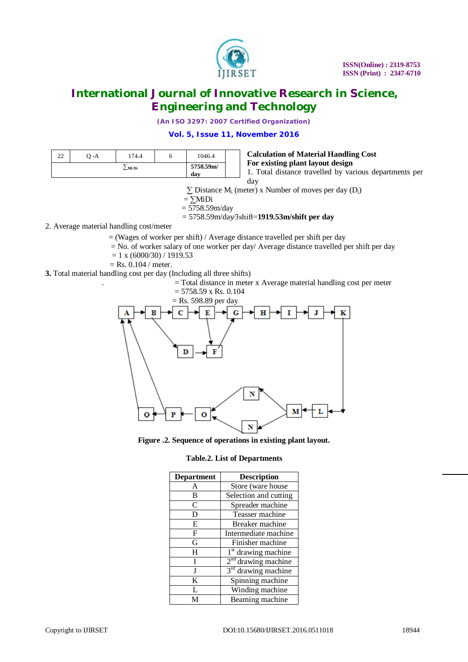

*(An ISO 3297: 2007 Certified Organization)*

## **Vol. 5, Issue 11, November 2016**

| 22     | 7 - A | 174.4            |                                                                                            | 1046.4 | <b>Calculation of Material Handling Cost</b> |
|--------|-------|------------------|--------------------------------------------------------------------------------------------|--------|----------------------------------------------|
| ∑Mi Di |       | 5758.59m/<br>dav | For existing plant layout design<br>1. Total distance travelled by various departments per |        |                                              |

$$
\mathcal{L}_{\mathcal{L}}(\mathcal{L})
$$

day

 $\Sigma$  Distance M<sub>i</sub> (meter) x Number of moves per day (D<sub>i</sub>)

$$
=\sum \mathbf{MiDi}
$$

$$
=5758.59
$$
m/day

= 5758.59m/day∕3shift=**1919.53m/shift per day**

2. Average material handling cost/meter

 $=$  (Wages of worker per shift) / Average distance travelled per shift per day

- $=$  No. of worker salary of one worker per day/ Average distance travelled per shift per day
- $= 1$  x (6000/30) / 1919.53
- $=$  Rs. 0.104 / meter.

**3.** Total material handling cost per day (Including all three shifts)

. = Total distance in meter x Average material handling cost per meter





**Figure .2. Sequence of operations in existing plant layout.**

**Table.2. List of Departments**

| <b>Department</b> | <b>Description</b>              |
|-------------------|---------------------------------|
| A                 | Store (ware house               |
| B                 | Selection and cutting           |
| C                 | Spreader machine                |
| D                 | Teasser machine                 |
| E                 | Breaker machine                 |
| F                 | Intermediate machine            |
| G                 | Finisher machine                |
| Н                 | 1 <sup>st</sup> drawing machine |
| T                 | $2nd$ drawing machine           |
| I                 | 3 <sup>rd</sup> drawing machine |
| K                 | Spinning machine                |
| L                 | Winding machine                 |
|                   | Beaming machine                 |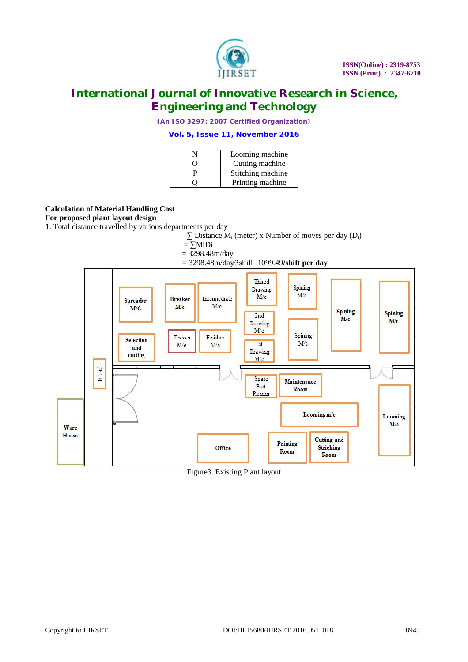

*(An ISO 3297: 2007 Certified Organization)*

## **Vol. 5, Issue 11, November 2016**

| Looming machine   |
|-------------------|
| Cutting machine   |
| Stitching machine |
| Printing machine  |

## **Calculation of Material Handling Cost**

**For proposed plant layout design**

1. Total distance travelled by various departments per day

 $\Sigma$  Distance M<sub>i</sub> (meter) x Number of moves per day (D<sub>i</sub>)

- $=$   $\sum$ MiDi
- $= 3298.48$ m/day
- = 3298.48m/day∕3shift=1099.49**/shift per day**



Figure3. Existing Plant layout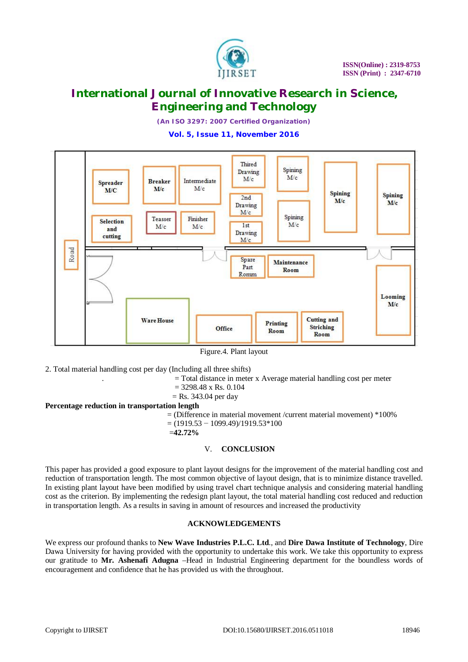

*(An ISO 3297: 2007 Certified Organization)*

**Vol. 5, Issue 11, November 2016**



Figure.4. Plant layout

2. Total material handling cost per day (Including all three shifts)

. = Total distance in meter x Average material handling cost per meter

- $= 3298.48$  x Rs. 0.104
- $=$  Rs. 343.04 per day

### **Percentage reduction in transportation length**

 $=$  (Difference in material movement /current material movement)  $*100\%$ 

 $= (1919.53 - 1099.49)/1919.53*100$ 

$$
\pm 42.72\%
$$

## V. **CONCLUSION**

This paper has provided a good exposure to plant layout designs for the improvement of the material handling cost and reduction of transportation length. The most common objective of layout design, that is to minimize distance travelled. In existing plant layout have been modified by using travel chart technique analysis and considering material handling cost as the criterion. By implementing the redesign plant layout, the total material handling cost reduced and reduction in transportation length. As a results in saving in amount of resources and increased the productivity

## **ACKNOWLEDGEMENTS**

We express our profound thanks to **New Wave Industries P.L.C. Ltd**., and **Dire Dawa Institute of Technology**, Dire Dawa University for having provided with the opportunity to undertake this work. We take this opportunity to express our gratitude to **Mr. Ashenafi Adugna** –Head in Industrial Engineering department for the boundless words of encouragement and confidence that he has provided us with the throughout.